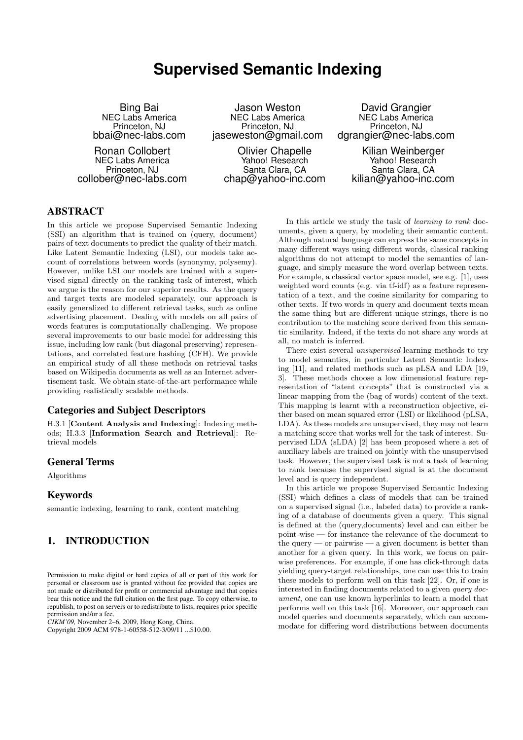# **Supervised Semantic Indexing**

Bing Bai NEC Labs America Princeton, NJ bbai@nec-labs.com

Ronan Collobert NEC Labs America Princeton, NJ collober@nec-labs.com

Jason Weston NEC Labs America Princeton, NJ jaseweston@gmail.com

Olivier Chapelle Yahoo! Research Santa Clara, CA chap@yahoo-inc.com

David Grangier NEC Labs America Princeton, NJ dgrangier@nec-labs.com

> Kilian Weinberger Yahoo! Research Santa Clara, CA kilian@yahoo-inc.com

# ABSTRACT

In this article we propose Supervised Semantic Indexing (SSI) an algorithm that is trained on (query, document) pairs of text documents to predict the quality of their match. Like Latent Semantic Indexing (LSI), our models take account of correlations between words (synonymy, polysemy). However, unlike LSI our models are trained with a supervised signal directly on the ranking task of interest, which we argue is the reason for our superior results. As the query and target texts are modeled separately, our approach is easily generalized to different retrieval tasks, such as online advertising placement. Dealing with models on all pairs of words features is computationally challenging. We propose several improvements to our basic model for addressing this issue, including low rank (but diagonal preserving) representations, and correlated feature hashing (CFH). We provide an empirical study of all these methods on retrieval tasks based on Wikipedia documents as well as an Internet advertisement task. We obtain state-of-the-art performance while providing realistically scalable methods.

# Categories and Subject Descriptors

H.3.1 [Content Analysis and Indexing]: Indexing methods; H.3.3 [Information Search and Retrieval]: Retrieval models

# General Terms

Algorithms

# Keywords

semantic indexing, learning to rank, content matching

# 1. INTRODUCTION

*CIKM'09,* November 2–6, 2009, Hong Kong, China.

Copyright 2009 ACM 978-1-60558-512-3/09/11 ...\$10.00.

In this article we study the task of learning to rank documents, given a query, by modeling their semantic content. Although natural language can express the same concepts in many different ways using different words, classical ranking algorithms do not attempt to model the semantics of language, and simply measure the word overlap between texts. For example, a classical vector space model, see e.g. [1], uses weighted word counts (e.g. via tf-idf) as a feature representation of a text, and the cosine similarity for comparing to other texts. If two words in query and document texts mean the same thing but are different unique strings, there is no contribution to the matching score derived from this semantic similarity. Indeed, if the texts do not share any words at all, no match is inferred.

There exist several *unsupervised* learning methods to try to model semantics, in particular Latent Semantic Indexing [11], and related methods such as pLSA and LDA [19, 3]. These methods choose a low dimensional feature representation of "latent concepts" that is constructed via a linear mapping from the (bag of words) content of the text. This mapping is learnt with a reconstruction objective, either based on mean squared error (LSI) or likelihood (pLSA, LDA). As these models are unsupervised, they may not learn a matching score that works well for the task of interest. Supervised LDA (sLDA) [2] has been proposed where a set of auxiliary labels are trained on jointly with the unsupervised task. However, the supervised task is not a task of learning to rank because the supervised signal is at the document level and is query independent.

In this article we propose Supervised Semantic Indexing (SSI) which defines a class of models that can be trained on a supervised signal (i.e., labeled data) to provide a ranking of a database of documents given a query. This signal is defined at the (query,documents) level and can either be point-wise — for instance the relevance of the document to the query — or pairwise — a given document is better than another for a given query. In this work, we focus on pairwise preferences. For example, if one has click-through data yielding query-target relationships, one can use this to train these models to perform well on this task [22]. Or, if one is interested in finding documents related to a given query document, one can use known hyperlinks to learn a model that performs well on this task [16]. Moreover, our approach can model queries and documents separately, which can accommodate for differing word distributions between documents

Permission to make digital or hard copies of all or part of this work for personal or classroom use is granted without fee provided that copies are not made or distributed for profit or commercial advantage and that copies bear this notice and the full citation on the first page. To copy otherwise, to republish, to post on servers or to redistribute to lists, requires prior specific permission and/or a fee.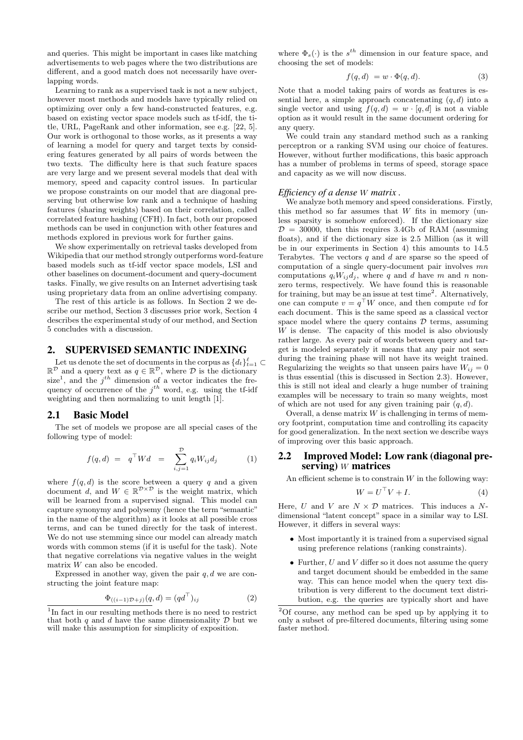and queries. This might be important in cases like matching advertisements to web pages where the two distributions are different, and a good match does not necessarily have overlapping words.

Learning to rank as a supervised task is not a new subject, however most methods and models have typically relied on optimizing over only a few hand-constructed features, e.g. based on existing vector space models such as tf-idf, the title, URL, PageRank and other information, see e.g. [22, 5]. Our work is orthogonal to those works, as it presents a way of learning a model for query and target texts by considering features generated by all pairs of words between the two texts. The difficulty here is that such feature spaces are very large and we present several models that deal with memory, speed and capacity control issues. In particular we propose constraints on our model that are diagonal preserving but otherwise low rank and a technique of hashing features (sharing weights) based on their correlation, called correlated feature hashing (CFH). In fact, both our proposed methods can be used in conjunction with other features and methods explored in previous work for further gains.

We show experimentally on retrieval tasks developed from Wikipedia that our method strongly outperforms word-feature based models such as tf-idf vector space models, LSI and other baselines on document-document and query-document tasks. Finally, we give results on an Internet advertising task using proprietary data from an online advertising company.

The rest of this article is as follows. In Section 2 we describe our method, Section 3 discusses prior work, Section 4 describes the experimental study of our method, and Section 5 concludes with a discussion.

## 2. SUPERVISED SEMANTIC INDEXING

Let us denote the set of documents in the corpus as  $\{d_t\}_{t=1}^{\ell} \subset$  $\mathbb{R}^{\mathcal{D}}$  and a query text as  $q \in \mathbb{R}^{\mathcal{D}}$ , where  $\mathcal{D}$  is the dictionary size<sup>1</sup>, and the  $j<sup>th</sup>$  dimension of a vector indicates the frequency of occurrence of the  $j<sup>th</sup>$  word, e.g. using the tf-idf weighting and then normalizing to unit length [1].

## 2.1 Basic Model

The set of models we propose are all special cases of the following type of model:

$$
f(q,d) = q^{\top} Wd = \sum_{i,j=1}^{D} q_i W_{ij} d_j \qquad (1)
$$

where  $f(q, d)$  is the score between a query q and a given document d, and  $W \in \mathbb{R}^{\mathcal{D} \times \mathcal{D}}$  is the weight matrix, which will be learned from a supervised signal. This model can capture synonymy and polysemy (hence the term "semantic" in the name of the algorithm) as it looks at all possible cross terms, and can be tuned directly for the task of interest. We do not use stemming since our model can already match words with common stems (if it is useful for the task). Note that negative correlations via negative values in the weight matrix W can also be encoded.

Expressed in another way, given the pair  $q, d$  we are constructing the joint feature map:

$$
\Phi_{((i-1)\mathcal{D}+j)}(q,d) = (qd^{\top})_{ij} \tag{2}
$$

where  $\Phi_s(\cdot)$  is the  $s^{th}$  dimension in our feature space, and choosing the set of models:

$$
f(q,d) = w \cdot \Phi(q,d). \tag{3}
$$

Note that a model taking pairs of words as features is essential here, a simple approach concatenating  $(q, d)$  into a single vector and using  $f(q, d) = w \cdot [q, d]$  is not a viable option as it would result in the same document ordering for any query.

We could train any standard method such as a ranking perceptron or a ranking SVM using our choice of features. However, without further modifications, this basic approach has a number of problems in terms of speed, storage space and capacity as we will now discuss.

# *Efficiency of a dense* W *matrix .*

We analyze both memory and speed considerations. Firstly, this method so far assumes that  $W$  fits in memory (unless sparsity is somehow enforced). If the dictionary size  $D = 30000$ , then this requires 3.4Gb of RAM (assuming floats), and if the dictionary size is 2.5 Million (as it will be in our experiments in Section 4) this amounts to 14.5 Terabytes. The vectors  $q$  and  $d$  are sparse so the speed of computation of a single query-document pair involves  $mn$ computations  $q_iW_{ij}d_j$ , where q and d have m and n nonzero terms, respectively. We have found this is reasonable for training, but may be an issue at test time<sup>2</sup>. Alternatively, one can compute  $v = q^{\top}W$  once, and then compute vd for each document. This is the same speed as a classical vector space model where the query contains  $D$  terms, assuming  $W$  is dense. The capacity of this model is also obviously rather large. As every pair of words between query and target is modeled separately it means that any pair not seen during the training phase will not have its weight trained. Regularizing the weights so that unseen pairs have  $W_{ii} = 0$ is thus essential (this is discussed in Section 2.3). However, this is still not ideal and clearly a huge number of training examples will be necessary to train so many weights, most of which are not used for any given training pair  $(q, d)$ .

Overall, a dense matrix  $W$  is challenging in terms of memory footprint, computation time and controlling its capacity for good generalization. In the next section we describe ways of improving over this basic approach.

# 2.2 Improved Model: Low rank (diagonal preserving)  $W$  matrices

An efficient scheme is to constrain  $W$  in the following way:

$$
W = U^{\top}V + I. \tag{4}
$$

Here, U and V are  $N \times \mathcal{D}$  matrices. This induces a Ndimensional "latent concept" space in a similar way to LSI. However, it differs in several ways:

- Most importantly it is trained from a supervised signal using preference relations (ranking constraints).
- Further,  $U$  and  $V$  differ so it does not assume the query and target document should be embedded in the same way. This can hence model when the query text distribution is very different to the document text distribution, e.g. the queries are typically short and have

<sup>2</sup>Of course, any method can be sped up by applying it to only a subset of pre-filtered documents, filtering using some faster method.

<sup>&</sup>lt;sup>1</sup>In fact in our resulting methods there is no need to restrict that both  $q$  and  $d$  have the same dimensionality  $\mathcal D$  but we will make this assumption for simplicity of exposition.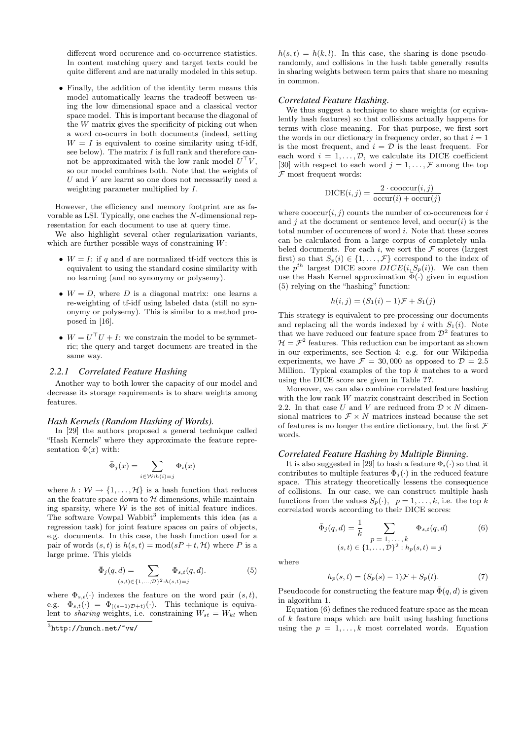different word occurence and co-occurrence statistics. In content matching query and target texts could be quite different and are naturally modeled in this setup.

• Finally, the addition of the identity term means this model automatically learns the tradeoff between using the low dimensional space and a classical vector space model. This is important because the diagonal of the  $W$  matrix gives the specificity of picking out when a word co-ocurrs in both documents (indeed, setting  $W = I$  is equivalent to cosine similarity using the idf. see below). The matrix  $I$  is full rank and therefore cannot be approximated with the low rank model  $U^{\top}V$ , so our model combines both. Note that the weights of U and V are learnt so one does not necessarily need a weighting parameter multiplied by I.

However, the efficiency and memory footprint are as favorable as LSI. Typically, one caches the N-dimensional representation for each document to use at query time.

We also highlight several other regularization variants, which are further possible ways of constraining  $W$ :

- $W = I$ : if q and d are normalized tf-idf vectors this is equivalent to using the standard cosine similarity with no learning (and no synonymy or polysemy).
- $W = D$ , where D is a diagonal matrix: one learns a re-weighting of tf-idf using labeled data (still no synonymy or polysemy). This is similar to a method proposed in [16].
- $W = U^{\top} U + I$ : we constrain the model to be symmetric; the query and target document are treated in the same way.

## *2.2.1 Correlated Feature Hashing*

Another way to both lower the capacity of our model and decrease its storage requirements is to share weights among features.

#### *Hash Kernels (Random Hashing of Words).*

In [29] the authors proposed a general technique called "Hash Kernels" where they approximate the feature representation  $\Phi(x)$  with:

$$
\bar{\Phi}_j(x) = \sum_{i \in \mathcal{W}: h(i) = j} \Phi_i(x)
$$

where  $h : \mathcal{W} \to \{1, \ldots, \mathcal{H}\}\$ is a hash function that reduces an the feature space down to  $H$  dimensions, while maintaining sparsity, where  $W$  is the set of initial feature indices. The software Vowpal Wabbit<sup>3</sup> implements this idea (as a regression task) for joint feature spaces on pairs of objects, e.g. documents. In this case, the hash function used for a pair of words  $(s, t)$  is  $h(s, t) = \text{mod}(sP + t, \mathcal{H})$  where P is a large prime. This yields

$$
\bar{\Phi}_j(q, d) = \sum_{(s,t) \in \{1, ..., \mathcal{D}\}^2 : h(s,t) = j} \Phi_{s,t}(q, d). \tag{5}
$$

where  $\Phi_{s,t}(\cdot)$  indexes the feature on the word pair  $(s,t)$ , e.g.  $\Phi_{s,t}(\cdot) = \Phi_{((s-1)\mathcal{D}+t)}(\cdot)$ . This technique is equivalent to *sharing* weights, i.e. constraining  $W_{st} = W_{kl}$  when  $h(s, t) = h(k, l)$ . In this case, the sharing is done pseudorandomly, and collisions in the hash table generally results in sharing weights between term pairs that share no meaning in common.

#### *Correlated Feature Hashing.*

We thus suggest a technique to share weights (or equivalently hash features) so that collisions actually happens for terms with close meaning. For that purpose, we first sort the words in our dictionary in frequency order, so that  $i = 1$ is the most frequent, and  $i = \mathcal{D}$  is the least frequent. For each word  $i = 1, ..., \mathcal{D}$ , we calculate its DICE coefficient [30] with respect to each word  $j = 1, \ldots, \mathcal{F}$  among the top  $F$  most frequent words:

$$
\text{DICE}(i, j) = \frac{2 \cdot \text{cooccur}(i, j)}{\text{occur}(i) + \text{occur}(j)}
$$

where  $\operatorname{cooccur}(i, j)$  counts the number of co-occurences for i and j at the document or sentence level, and  $\mathrm{occur}(i)$  is the total number of occurences of word i. Note that these scores can be calculated from a large corpus of completely unlabeled documents. For each i, we sort the  $\mathcal F$  scores (largest first) so that  $S_p(i) \in \{1, \ldots, \mathcal{F}\}\)$  correspond to the index of the  $p^{th}$  largest DICE score  $DICE(i, S_p(i))$ . We can then use the Hash Kernel approximation  $\bar{\Phi}(\cdot)$  given in equation (5) relying on the "hashing" function:

$$
h(i, j) = (S_1(i) - 1)\mathcal{F} + S_1(j)
$$

This strategy is equivalent to pre-processing our documents and replacing all the words indexed by i with  $S_1(i)$ . Note that we have reduced our feature space from  $\mathcal{D}^2$  features to  $\mathcal{H} = \mathcal{F}^2$  features. This reduction can be important as shown in our experiments, see Section 4: e.g. for our Wikipedia experiments, we have  $\mathcal{F} = 30,000$  as opposed to  $\mathcal{D} = 2.5$ Million. Typical examples of the top  $k$  matches to a word using the DICE score are given in Table ??.

Moreover, we can also combine correlated feature hashing with the low rank W matrix constraint described in Section 2.2. In that case U and V are reduced from  $\mathcal{D} \times N$  dimensional matrices to  $\mathcal{F} \times N$  matrices instead because the set of features is no longer the entire dictionary, but the first  $\mathcal F$ words.

## *Correlated Feature Hashing by Multiple Binning.*

It is also suggested in [29] to hash a feature  $\Phi_i(\cdot)$  so that it contributes to multiple features  $\bar{\Phi}_i(\cdot)$  in the reduced feature space. This strategy theoretically lessens the consequence of collisions. In our case, we can construct multiple hash functions from the values  $S_p(\cdot)$ ,  $p = 1, \ldots, k$ , i.e. the top k correlated words according to their DICE scores:

$$
\bar{\Phi}_j(q, d) = \frac{1}{k} \sum_{\substack{p = 1, ..., k \\ (s, t) \in \{1, ..., D\}^2 \, : \, h_p(s, t) = j}} \Phi_{s, t}(q, d) \tag{6}
$$

where

$$
h_p(s,t) = (S_p(s) - 1)\mathcal{F} + S_p(t).
$$
 (7)

Pseudocode for constructing the feature map  $\bar{\Phi}(q, d)$  is given in algorithm 1.

Equation (6) defines the reduced feature space as the mean of  $k$  feature maps which are built using hashing functions using the  $p = 1, \ldots, k$  most correlated words. Equation

 $3$ http://hunch.net/~vw/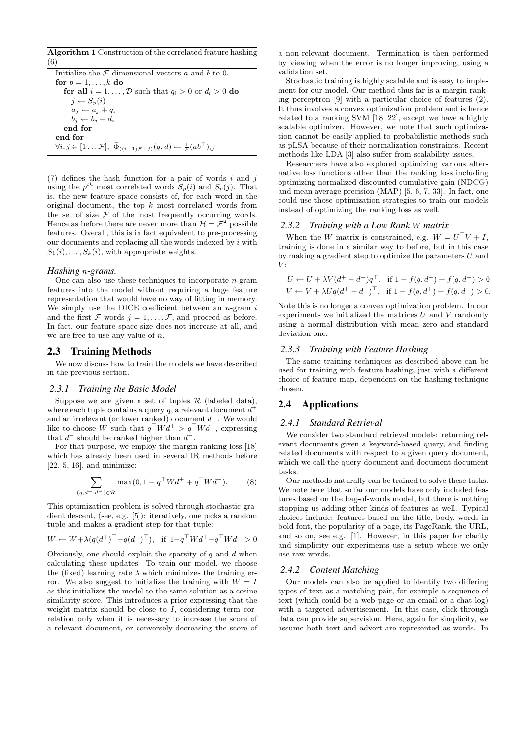Algorithm 1 Construction of the correlated feature hashing (6)

Initialize the  $\mathcal F$  dimensional vectors  $a$  and  $b$  to 0. for  $p = 1, \ldots, k$  do for all  $i = 1, ..., D$  such that  $q_i > 0$  or  $d_i > 0$  do  $j \leftarrow S_p(i)$  $a_j \leftarrow a_j + q_i$  $b_j \leftarrow b_j + d_i$ end for end for  $\forall i, j \in [1 \dots \mathcal{F}], \ \overline{\Phi}_{((i-1)\mathcal{F}+j)}(q,d) \leftarrow \frac{1}{k} (ab^{\top})_{ij}$ 

(7) defines the hash function for a pair of words  $i$  and  $j$ using the  $p^{th}$  most correlated words  $S_p(i)$  and  $S_p(j)$ . That is, the new feature space consists of, for each word in the original document, the top  $k$  most correlated words from the set of size  $F$  of the most frequently occurring words. Hence as before there are never more than  $\mathcal{H} = \mathcal{F}^2$  possible features. Overall, this is in fact equivalent to pre-processing our documents and replacing all the words indexed by  $i$  with  $S_1(i), \ldots, S_k(i)$ , with appropriate weights.

#### *Hashing* n*-grams.*

One can also use these techniques to incorporate  $n$ -gram features into the model without requiring a huge feature representation that would have no way of fitting in memory. We simply use the DICE coefficient between an  $n$ -gram  $i$ and the first F words  $j = 1, \ldots, \mathcal{F}$ , and proceed as before. In fact, our feature space size does not increase at all, and we are free to use any value of  $n$ .

## 2.3 Training Methods

We now discuss how to train the models we have described in the previous section.

## *2.3.1 Training the Basic Model*

Suppose we are given a set of tuples  $\mathcal R$  (labeled data), where each tuple contains a query  $q$ , a relevant document  $d^+$ and an irrelevant (or lower ranked) document  $d^-$ . We would like to choose W such that  $q^{\top}Wd^+ > q^{\top}Wd^-$ , expressing that  $d^+$  should be ranked higher than  $d^-$ .

For that purpose, we employ the margin ranking loss [18] which has already been used in several IR methods before [22, 5, 16], and minimize:

$$
\sum_{(q,d^+,d^-)\in\mathcal{R}} \max(0, 1 - q^{\top} W d^+ + q^{\top} W d^-). \tag{8}
$$

This optimization problem is solved through stochastic gradient descent, (see, e.g. [5]): iteratively, one picks a random tuple and makes a gradient step for that tuple:

$$
W \leftarrow W + \lambda (q(d^+)^{\top} - q(d^-)^{\top}), \text{ if } 1 - q^{\top} W d^+ + q^{\top} W d^- > 0
$$

Obviously, one should exploit the sparsity of  $q$  and  $d$  when calculating these updates. To train our model, we choose the (fixed) learning rate  $\lambda$  which minimizes the training error. We also suggest to initialize the training with  $W = I$ as this initializes the model to the same solution as a cosine similarity score. This introduces a prior expressing that the weight matrix should be close to  $I$ , considering term correlation only when it is necessary to increase the score of a relevant document, or conversely decreasing the score of a non-relevant document. Termination is then performed by viewing when the error is no longer improving, using a validation set.

Stochastic training is highly scalable and is easy to implement for our model. Our method thus far is a margin ranking perceptron [9] with a particular choice of features (2). It thus involves a convex optimization problem and is hence related to a ranking SVM [18, 22], except we have a highly scalable optimizer. However, we note that such optimization cannot be easily applied to probabilistic methods such as pLSA because of their normalization constraints. Recent methods like LDA [3] also suffer from scalability issues.

Researchers have also explored optimizing various alternative loss functions other than the ranking loss including optimizing normalized discounted cumulative gain (NDCG) and mean average precision (MAP) [5, 6, 7, 33]. In fact, one could use those optimization strategies to train our models instead of optimizing the ranking loss as well.

#### *2.3.2 Training with a Low Rank* W *matrix*

When the W matrix is constrained, e.g.  $W = U^{\top}V + I$ , training is done in a similar way to before, but in this case by making a gradient step to optimize the parameters U and  $V:$ 

$$
U \leftarrow U + \lambda V(d^+ - d^-)q^{\top}, \text{ if } 1 - f(q, d^+) + f(q, d^-) > 0
$$
  

$$
V \leftarrow V + \lambda Uq(d^+ - d^-)^{\top}, \text{ if } 1 - f(q, d^+) + f(q, d^-) > 0.
$$

Note this is no longer a convex optimization problem. In our experiments we initialized the matrices  $U$  and  $V$  randomly using a normal distribution with mean zero and standard deviation one.

## *2.3.3 Training with Feature Hashing*

The same training techniques as described above can be used for training with feature hashing, just with a different choice of feature map, dependent on the hashing technique chosen.

# 2.4 Applications

# *2.4.1 Standard Retrieval*

We consider two standard retrieval models: returning relevant documents given a keyword-based query, and finding related documents with respect to a given query document, which we call the query-document and document-document tasks.

Our methods naturally can be trained to solve these tasks. We note here that so far our models have only included features based on the bag-of-words model, but there is nothing stopping us adding other kinds of features as well. Typical choices include: features based on the title, body, words in bold font, the popularity of a page, its PageRank, the URL, and so on, see e.g. [1]. However, in this paper for clarity and simplicity our experiments use a setup where we only use raw words.

## *2.4.2 Content Matching*

Our models can also be applied to identify two differing types of text as a matching pair, for example a sequence of text (which could be a web page or an email or a chat log) with a targeted advertisement. In this case, click-through data can provide supervision. Here, again for simplicity, we assume both text and advert are represented as words. In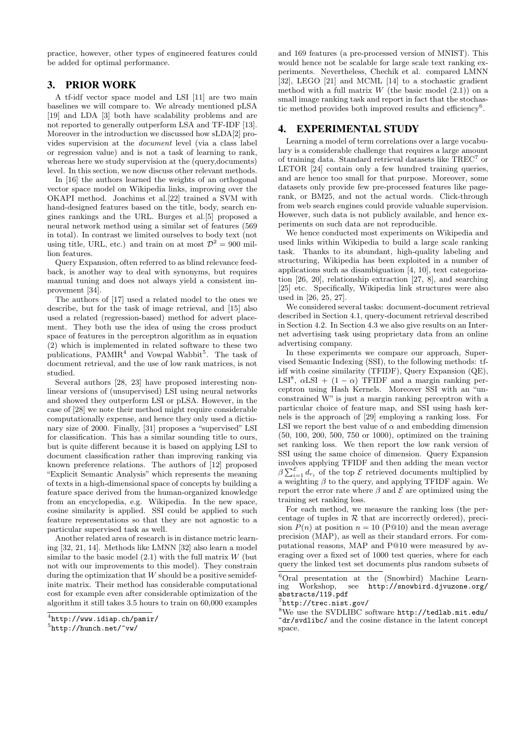practice, however, other types of engineered features could be added for optimal performance.

# 3. PRIOR WORK

A tf-idf vector space model and LSI [11] are two main baselines we will compare to. We already mentioned pLSA [19] and LDA [3] both have scalability problems and are not reported to generally outperform LSA and TF-IDF [13]. Moreover in the introduction we discussed how sLDA[2] provides supervision at the document level (via a class label or regression value) and is not a task of learning to rank, whereas here we study supervision at the (query,documents) level. In this section, we now discuss other relevant methods.

In [16] the authors learned the weights of an orthogonal vector space model on Wikipedia links, improving over the OKAPI method. Joachims et al.[22] trained a SVM with hand-designed features based on the title, body, search engines rankings and the URL. Burges et al.[5] proposed a neural network method using a similar set of features (569 in total). In contrast we limited ourselves to body text (not using title, URL, etc.) and train on at most  $\mathcal{D}^2 = 900$  million features.

Query Expansion, often referred to as blind relevance feedback, is another way to deal with synonyms, but requires manual tuning and does not always yield a consistent improvement [34].

The authors of [17] used a related model to the ones we describe, but for the task of image retrieval, and [15] also used a related (regression-based) method for advert placement. They both use the idea of using the cross product space of features in the perceptron algorithm as in equation (2) which is implemented in related software to these two publications,  $PAMIR<sup>4</sup>$  and Vowpal Wabbit<sup>5</sup>. The task of document retrieval, and the use of low rank matrices, is not studied.

Several authors [28, 23] have proposed interesting nonlinear versions of (unsupervised) LSI using neural networks and showed they outperform LSI or pLSA. However, in the case of [28] we note their method might require considerable computationally expense, and hence they only used a dictionary size of 2000. Finally, [31] proposes a "supervised" LSI for classification. This has a similar sounding title to ours, but is quite different because it is based on applying LSI to document classification rather than improving ranking via known preference relations. The authors of [12] proposed "Explicit Semantic Analysis" which represents the meaning of texts in a high-dimensional space of concepts by building a feature space derived from the human-organized knowledge from an encyclopedia, e.g. Wikipedia. In the new space, cosine similarity is applied. SSI could be applied to such feature representations so that they are not agnostic to a particular supervised task as well.

Another related area of research is in distance metric learning [32, 21, 14]. Methods like LMNN [32] also learn a model similar to the basic model  $(2.1)$  with the full matrix  $W$  (but not with our improvements to this model). They constrain during the optimization that  $W$  should be a positive semidefinite matrix. Their method has considerable computational cost for example even after considerable optimization of the algorithm it still takes 3.5 hours to train on 60,000 examples

and 169 features (a pre-processed version of MNIST). This would hence not be scalable for large scale text ranking experiments. Nevertheless, Chechik et al. compared LMNN [32], LEGO [21] and MCML [14] to a stochastic gradient method with a full matrix  $W$  (the basic model  $(2.1)$ ) on a small image ranking task and report in fact that the stochastic method provides both improved results and efficiency<sup>6</sup>.

# 4. EXPERIMENTAL STUDY

Learning a model of term correlations over a large vocabulary is a considerable challenge that requires a large amount of training data. Standard retrieval datasets like TREC<sup>7</sup> or LETOR [24] contain only a few hundred training queries, and are hence too small for that purpose. Moreover, some datasets only provide few pre-processed features like pagerank, or BM25, and not the actual words. Click-through from web search engines could provide valuable supervision. However, such data is not publicly available, and hence experiments on such data are not reproducible.

We hence conducted most experiments on Wikipedia and used links within Wikipedia to build a large scale ranking task. Thanks to its abundant, high-quality labeling and structuring, Wikipedia has been exploited in a number of applications such as disambiguation [4, 10], text categorization [26, 20], relationship extraction [27, 8], and searching [25] etc. Specifically, Wikipedia link structures were also used in [26, 25, 27].

We considered several tasks: document-document retrieval described in Section 4.1, query-document retrieval described in Section 4.2. In Section 4.3 we also give results on an Internet advertising task using proprietary data from an online advertising company.

In these experiments we compare our approach, Supervised Semantic Indexing (SSI), to the following methods: tfidf with cosine similarity (TFIDF), Query Expansion (QE), LSI<sup>8</sup>,  $\alpha$ LSI + (1 –  $\alpha$ ) TFIDF and a margin ranking perceptron using Hash Kernels. Moreover SSI with an "unconstrained W" is just a margin ranking perceptron with a particular choice of feature map, and SSI using hash kernels is the approach of [29] employing a ranking loss. For LSI we report the best value of  $\alpha$  and embedding dimension (50, 100, 200, 500, 750 or 1000), optimized on the training set ranking loss. We then report the low rank version of SSI using the same choice of dimension. Query Expansion involves applying TFIDF and then adding the mean vector  $\beta \sum_{i=1}^{\mathcal{E}} d_{r_i}$  of the top  $\mathcal E$  retrieved documents multiplied by a weighting  $\beta$  to the query, and applying TFIDF again. We report the error rate where  $\beta$  and  $\mathcal E$  are optimized using the training set ranking loss.

For each method, we measure the ranking loss (the percentage of tuples in  $R$  that are incorrectly ordered), precision  $P(n)$  at position  $n = 10$  (P@10) and the mean average precision (MAP), as well as their standard errors. For computational reasons, MAP and P@10 were measured by averaging over a fixed set of 1000 test queries, where for each query the linked test set documents plus random subsets of

<sup>4</sup> http://www.idiap.ch/pamir/

<sup>5</sup> http://hunch.net/~vw/

 $\frac{6}{6}$ Oral presentation at the (Snowbird) Machine Learn-<br>ing Workshop, see http://snowbird.djvuzone.org/ see http://snowbird.djvuzone.org/ abstracts/119.pdf

<sup>7</sup> http://trec.nist.gov/

<sup>8</sup>We use the SVDLIBC software http://tedlab.mit.edu/ ~dr/svdlibc/ and the cosine distance in the latent concept space.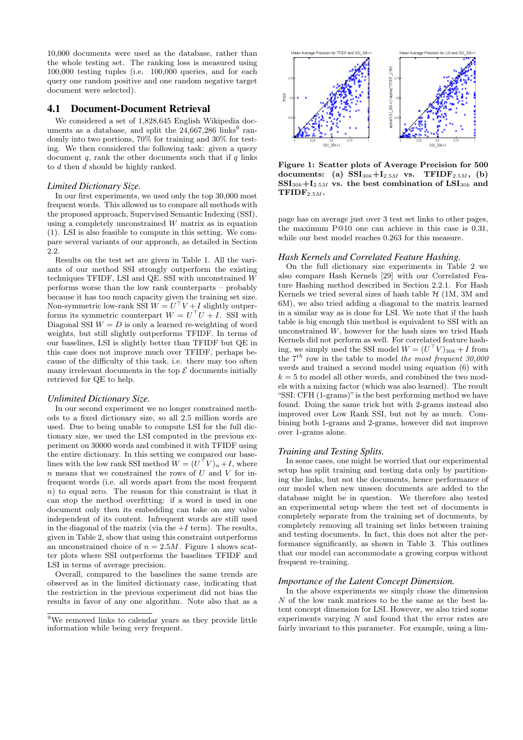10,000 documents were used as the database, rather than the whole testing set. The ranking loss is measured using 100,000 testing tuples (i.e. 100,000 queries, and for each query one random positive and one random negative target document were selected).

## 4.1 Document-Document Retrieval

We considered a set of 1,828,645 English Wikipedia documents as a database, and split the  $24,667,286$  links<sup>9</sup> randomly into two portions, 70% for training and 30% for testing. We then considered the following task: given a query document  $q$ , rank the other documents such that if  $q$  links to d then d should be highly ranked.

## *Limited Dictionary Size.*

In our first experiments, we used only the top 30,000 most frequent words. This allowed us to compare all methods with the proposed approach, Supervised Semantic Indexing (SSI), using a completely unconstrained  $W$  matrix as in equation (1). LSI is also feasible to compute in this setting. We compare several variants of our approach, as detailed in Section 2.2.

Results on the test set are given in Table 1. All the variants of our method SSI strongly outperform the existing techniques TFIDF, LSI and QE. SSI with unconstrained W performs worse than the low rank counterparts – probably because it has too much capacity given the training set size. Non-symmetric low-rank SSI  $W = U^\top V + I$  slightly outperforms its symmetric counterpart  $W = U<sup>T</sup>U + I$ . SSI with Diagonal SSI  $W = D$  is only a learned re-weighting of word weights, but still slightly outperforms TFIDF. In terms of our baselines, LSI is slightly better than TFIDF but QE in this case does not improve much over TFIDF, perhaps because of the difficulty of this task, i.e. there may too often many irrelevant documents in the top  $\mathcal E$  documents initially retrieved for QE to help.

#### *Unlimited Dictionary Size.*

In our second experiment we no longer constrained methods to a fixed dictionary size, so all 2.5 million words are used. Due to being unable to compute LSI for the full dictionary size, we used the LSI computed in the previous experiment on 30000 words and combined it with TFIDF using the entire dictionary. In this setting we compared our baselines with the low rank SSI method  $W = (U^{\dagger} V)_n + I$ , where  $n$  means that we constrained the rows of  $U$  and  $V$  for infrequent words (i.e. all words apart from the most frequent n) to equal zero. The reason for this constraint is that it can stop the method overfitting: if a word is used in one document only then its embedding can take on any value independent of its content. Infrequent words are still used in the diagonal of the matrix (via the  $+I$  term). The results, given in Table 2, show that using this constraint outperforms an unconstrained choice of  $n = 2.5M$ . Figure 1 shows scatter plots where SSI outperforms the baselines TFIDF and LSI in terms of average precision.

Overall, compared to the baselines the same trends are observed as in the limited dictionary case, indicating that the restriction in the previous experiment did not bias the results in favor of any one algorithm. Note also that as a



Figure 1: Scatter plots of Average Precision for 500 documents: (a)  $SSI_{30k}+I_{2.5M}$  vs. TFIDF<sub>2.5M</sub>, (b)  $\text{SSI}_{30k}+\text{I}_{2.5M}$  vs. the best combination of  $\text{LSI}_{30k}$  and  $TFIDF<sub>2.5M</sub>$ .

page has on average just over 3 test set links to other pages, the maximum P@10 one can achieve in this case is 0.31, while our best model reaches 0.263 for this measure.

#### *Hash Kernels and Correlated Feature Hashing.*

On the full dictionary size experiments in Table 2 we also compare Hash Kernels [29] with our Correlated Feature Hashing method described in Section 2.2.1. For Hash Kernels we tried several sizes of hash table  $H$  (1M, 3M and 6M), we also tried adding a diagonal to the matrix learned in a similar way as is done for LSI. We note that if the hash table is big enough this method is equivalent to SSI with an unconstrained  $W$ , however for the hash sizes we tried Hash Kernels did not perform as well. For correlated feature hashing, we simply used the SSI model  $W = (U^{\top}V)_{30k} + I$  from the  $7^{th}$  row in the table to model the most frequent 30,000 words and trained a second model using equation (6) with  $k = 5$  to model all other words, and combined the two models with a mixing factor (which was also learned). The result "SSI: CFH (1-grams)"is the best performing method we have found. Doing the same trick but with 2-grams instead also improved over Low Rank SSI, but not by as much. Combining both 1-grams and 2-grams, however did not improve over 1-grams alone.

### *Training and Testing Splits.*

In some cases, one might be worried that our experimental setup has split training and testing data only by partitioning the links, but not the documents, hence performance of our model when new unseen documents are added to the database might be in question. We therefore also tested an experimental setup where the test set of documents is completely separate from the training set of documents, by completely removing all training set links between training and testing documents. In fact, this does not alter the performance significantly, as shown in Table 3. This outlines that our model can accommodate a growing corpus without frequent re-training.

#### *Importance of the Latent Concept Dimension.*

In the above experiments we simply chose the dimension  $N$  of the low rank matrices to be the same as the best latent concept dimension for LSI. However, we also tried some experiments varying  $N$  and found that the error rates are fairly invariant to this parameter. For example, using a lim-

<sup>9</sup>We removed links to calendar years as they provide little information while being very frequent.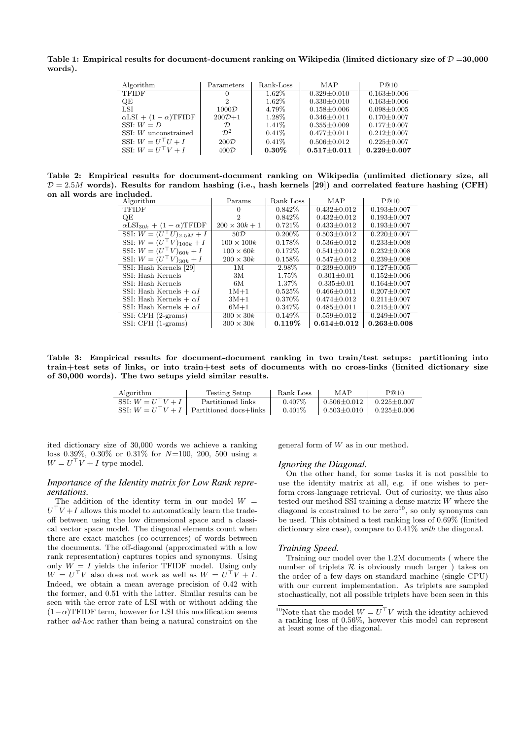Table 1: Empirical results for document-document ranking on Wikipedia (limited dictionary size of  $\mathcal{D} = 30,000$ words).

| Algorithm                           | Parameters      | Rank-Loss | MAP               | P@10              |
|-------------------------------------|-----------------|-----------|-------------------|-------------------|
| <b>TFIDF</b>                        | $\theta$        | $1.62\%$  | $0.329 + 0.010$   | $0.163 \pm 0.006$ |
| QE                                  | $\mathfrak{D}$  | 1.62\%    | $0.330 \pm 0.010$ | $0.163 \pm 0.006$ |
| LSI                                 | 1000D           | 4.79%     | $0.158 \pm 0.006$ | $0.098 + 0.005$   |
| $\alpha$ LSI + $(1 - \alpha)$ TFIDF | $200D+1$        | $1.28\%$  | $0.346 \pm 0.011$ | $0.170 \pm 0.007$ |
| SSI: $W = D$                        |                 | $1.41\%$  | $0.355 \pm 0.009$ | $0.177 \pm 0.007$ |
| SSI: W unconstrained                | $\mathcal{D}^2$ | $0.41\%$  | $0.477 \pm 0.011$ | $0.212 \pm 0.007$ |
| SSI: $W = U^{\top} U + I$           | 200D            | $0.41\%$  | $0.506 \pm 0.012$ | $0.225 \pm 0.007$ |
| SSI: $W = U^{\top}V + I$            | 400D            | $0.30\%$  | $0.517 + 0.011$   | $0.229 + 0.007$   |

Table 2: Empirical results for document-document ranking on Wikipedia (unlimited dictionary size, all  $D = 2.5M$  words). Results for random hashing (i.e., hash kernels [29]) and correlated feature hashing (CFH) on all words are included.

| Algorithm                              | Params               | Rank Loss | MAP               | P@10              |
|----------------------------------------|----------------------|-----------|-------------------|-------------------|
| <b>TFIDF</b>                           |                      | $0.842\%$ | $0.432 + 0.012$   | $0.193 + 0.007$   |
| QE                                     |                      | $0.842\%$ | $0.432 + 0.012$   | $0.193 \pm 0.007$ |
| $\alpha LSI_{30k} + (1 - \alpha)TFIDF$ | $200 \times 30k + 1$ | 0.721%    | $0.433 \pm 0.012$ | $0.193 \pm 0.007$ |
| SSI: $W = (U^{\dagger} U)_{2.5M} + I$  | 50D                  | $0.200\%$ | $0.503 \pm 0.012$ | $0.220 \pm 0.007$ |
| SSI: $W = (U^{\top}V)_{100k} + I$      | $100 \times 100k$    | $0.178\%$ | $0.536 + 0.012$   | $0.233 \pm 0.008$ |
| SSI: $W = (U^{\top}V)_{60k} + I$       | $100 \times 60k$     | $0.172\%$ | $0.541 + 0.012$   | $0.232 + 0.008$   |
| SSI: $W = (U^{\top}V)_{30k} + I$       | $200 \times 30k$     | $0.158\%$ | $0.547 \pm 0.012$ | $0.239 \pm 0.008$ |
| SSI: Hash Kernels [29]                 | 1M                   | 2.98%     | $0.239 + 0.009$   | $0.127 + 0.005$   |
| SSI: Hash Kernels                      | ЗM                   | 1.75%     | $0.301 \pm 0.01$  | $0.152 + 0.006$   |
| SSI: Hash Kernels                      | 6М                   | 1.37%     | $0.335 + 0.01$    | $0.164 \pm 0.007$ |
| SSI: Hash Kernels + $\alpha I$         | $1M+1$               | 0.525%    | $0.466 + 0.011$   | $0.207 + 0.007$   |
| SSI: Hash Kernels + $\alpha I$         | $3M+1$               | $0.370\%$ | $0.474 + 0.012$   | $0.211 + 0.007$   |
| SSI: Hash Kernels + $\alpha I$         | $6M+1$               | 0.347\%   | $0.485 \pm 0.011$ | $0.215 \pm 0.007$ |
| $\overline{\text{SSI: CFH}}$ (2-grams) | $300 \times 30k$     | 0.149%    | $0.559 + 0.012$   | $0.249 \pm 0.007$ |
| SSI: CFH (1-grams)                     | $300 \times 30k$     | $0.119\%$ | $0.614 \pm 0.012$ | $0.263 \pm 0.008$ |

Table 3: Empirical results for document-document ranking in two train/test setups: partitioning into train+test sets of links, or into train+test sets of documents with no cross-links (limited dictionary size of 30,000 words). The two setups yield similar results.

| Algorithm                    | Testing Setup                                                   | Rank Loss | MAP                                                 | P@10                |
|------------------------------|-----------------------------------------------------------------|-----------|-----------------------------------------------------|---------------------|
| SSI: $W = U^{\dagger} V + I$ | Partitioned links                                               | $0.407\%$ | $0.506 {\pm} 0.012$                                 | $0.225 {\pm} 0.007$ |
|                              | SSI: $W = U^{\top}V + I$   Partitioned docs+links <sup>-1</sup> | $0.401\%$ | $\vert$ 0.503 $\pm$ 0.010 $\vert$ 0.225 $\pm$ 0.006 |                     |

ited dictionary size of 30,000 words we achieve a ranking loss 0.39%, 0.30% or 0.31% for N=100, 200, 500 using a  $W = U^{\top}V + I$  type model.

#### *Importance of the Identity matrix for Low Rank representations.*

The addition of the identity term in our model  $W =$  $U<sup>T</sup>V+I$  allows this model to automatically learn the tradeoff between using the low dimensional space and a classical vector space model. The diagonal elements count when there are exact matches (co-ocurrences) of words between the documents. The off-diagonal (approximated with a low rank representation) captures topics and synonyms. Using only  $W = I$  yields the inferior TFIDF model. Using only  $W = U^{\top}V$  also does not work as well as  $W = U^{\top}V + I$ . Indeed, we obtain a mean average precision of 0.42 with the former, and 0.51 with the latter. Similar results can be seen with the error rate of LSI with or without adding the  $(1-\alpha)$ TFIDF term, however for LSI this modification seems rather ad-hoc rather than being a natural constraint on the general form of W as in our method.

#### *Ignoring the Diagonal.*

On the other hand, for some tasks it is not possible to use the identity matrix at all, e.g. if one wishes to perform cross-language retrieval. Out of curiosity, we thus also tested our method SSI training a dense matrix  $W$  where the diagonal is constrained to be  $\rm{zero}^{10}$ , so only synonyms can be used. This obtained a test ranking loss of 0.69% (limited dictionary size case), compare to 0.41% with the diagonal.

#### *Training Speed.*

Training our model over the 1.2M documents ( where the number of triplets  $\mathcal R$  is obviously much larger) takes on the order of a few days on standard machine (single CPU) with our current implementation. As triplets are sampled stochastically, not all possible triplets have been seen in this

<sup>&</sup>lt;sup>10</sup>Note that the model  $W = U<sup>T</sup>V$  with the identity achieved a ranking loss of 0.56%, however this model can represent at least some of the diagonal.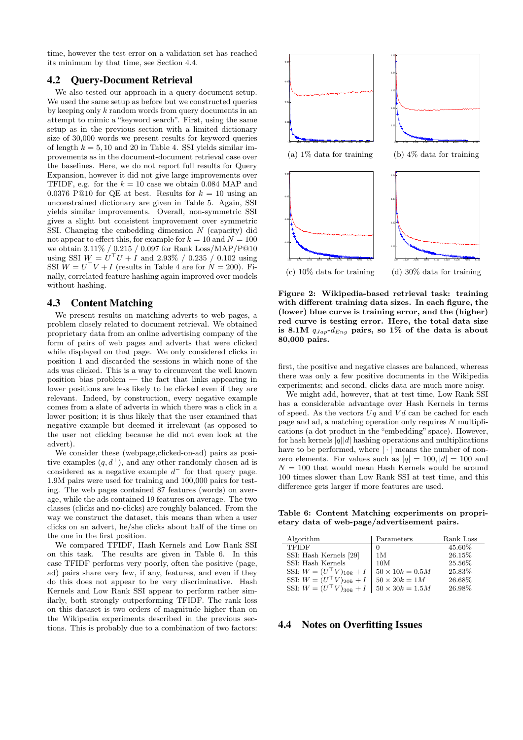time, however the test error on a validation set has reached its minimum by that time, see Section 4.4.

# 4.2 Query-Document Retrieval

We also tested our approach in a query-document setup. We used the same setup as before but we constructed queries by keeping only  $k$  random words from query documents in an attempt to mimic a "keyword search". First, using the same setup as in the previous section with a limited dictionary size of 30,000 words we present results for keyword queries of length  $k = 5, 10$  and 20 in Table 4. SSI yields similar improvements as in the document-document retrieval case over the baselines. Here, we do not report full results for Query Expansion, however it did not give large improvements over TFIDF, e.g. for the  $k = 10$  case we obtain 0.084 MAP and 0.0376 P@10 for QE at best. Results for  $k = 10$  using an unconstrained dictionary are given in Table 5. Again, SSI yields similar improvements. Overall, non-symmetric SSI gives a slight but consistent improvement over symmetric SSI. Changing the embedding dimension  $N$  (capacity) did not appear to effect this, for example for  $k = 10$  and  $N = 100$ we obtain 3.11% / 0.215 / 0.097 for Rank Loss/MAP/P@10 using SSI  $W = U^{\top}U + I$  and 2.93% / 0.235 / 0.102 using SSI  $W = U^{\top}V + I$  (results in Table 4 are for  $N = 200$ ). Finally, correlated feature hashing again improved over models without hashing.

# 4.3 Content Matching

We present results on matching adverts to web pages, a problem closely related to document retrieval. We obtained proprietary data from an online advertising company of the form of pairs of web pages and adverts that were clicked while displayed on that page. We only considered clicks in position 1 and discarded the sessions in which none of the ads was clicked. This is a way to circumvent the well known position bias problem — the fact that links appearing in lower positions are less likely to be clicked even if they are relevant. Indeed, by construction, every negative example comes from a slate of adverts in which there was a click in a lower position; it is thus likely that the user examined that negative example but deemed it irrelevant (as opposed to the user not clicking because he did not even look at the advert).

We consider these (webpage,clicked-on-ad) pairs as positive examples  $(q, d^+)$ , and any other randomly chosen ad is considered as a negative example  $d^-$  for that query page. 1.9M pairs were used for training and 100,000 pairs for testing. The web pages contained 87 features (words) on average, while the ads contained 19 features on average. The two classes (clicks and no-clicks) are roughly balanced. From the way we construct the dataset, this means than when a user clicks on an advert, he/she clicks about half of the time on the one in the first position.

We compared TFIDF, Hash Kernels and Low Rank SSI on this task. The results are given in Table 6. In this case TFIDF performs very poorly, often the positive (page, ad) pairs share very few, if any, features, and even if they do this does not appear to be very discriminative. Hash Kernels and Low Rank SSI appear to perform rather similarly, both strongly outperforming TFIDF. The rank loss on this dataset is two orders of magnitude higher than on the Wikipedia experiments described in the previous sections. This is probably due to a combination of two factors:



Figure 2: Wikipedia-based retrieval task: training with different training data sizes. In each figure, the (lower) blue curve is training error, and the (higher) red curve is testing error. Here, the total data size is 8.1M  $q_{Jap}$ - $d_{Enq}$  pairs, so 1% of the data is about 80,000 pairs.

first, the positive and negative classes are balanced, whereas there was only a few positive documents in the Wikipedia experiments; and second, clicks data are much more noisy.

We might add, however, that at test time, Low Rank SSI has a considerable advantage over Hash Kernels in terms of speed. As the vectors  $Uq$  and  $Vd$  can be cached for each page and ad, a matching operation only requires N multiplications (a dot product in the "embedding" space). However, for hash kernels  $|q||d|$  hashing operations and multiplications have to be performed, where  $|\cdot|$  means the number of nonzero elements. For values such as  $|q| = 100$ ,  $|d| = 100$  and  $N = 100$  that would mean Hash Kernels would be around 100 times slower than Low Rank SSI at test time, and this difference gets larger if more features are used.

Table 6: Content Matching experiments on proprietary data of web-page/advertisement pairs.

| Algorithm                        | Parameters             | Rank Loss |
|----------------------------------|------------------------|-----------|
| <b>TFIDF</b>                     |                        | 45.60%    |
| SSI: Hash Kernels [29]           | 1 M                    | 26.15%    |
| SSI: Hash Kernels                | 10M                    | 25.56%    |
| SSI: $W = (U^{\top}V)_{10k} + I$ | $50 \times 10k = 0.5M$ | 25.83%    |
| SSI: $W = (U^{\top}V)_{20k} + I$ | $50 \times 20k = 1M$   | 26.68%    |
| SSI: $W = (U^{\top}V)_{30k} + I$ | $50 \times 30k = 1.5M$ | 26.98%    |

## 4.4 Notes on Overfitting Issues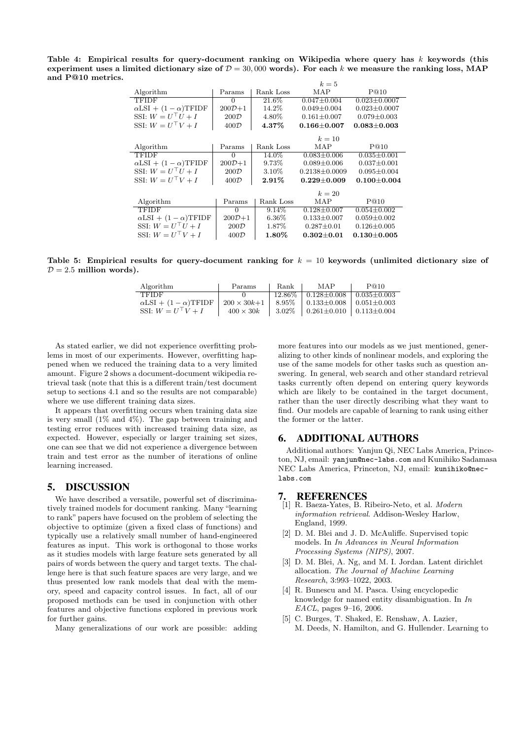Table 4: Empirical results for query-document ranking on Wikipedia where query has  $k$  keywords (this experiment uses a limited dictionary size of  $\mathcal{D} = 30,000$  words). For each k we measure the ranking loss, MAP and P@10 metrics.

|                                     |          |           | $k=5$             |                    |
|-------------------------------------|----------|-----------|-------------------|--------------------|
| Algorithm                           | Params   | Rank Loss | MAP               | P@10               |
| <b>TFIDF</b>                        | $\Omega$ | $21.6\%$  | $0.047 \pm 0.004$ | $0.023 \pm 0.0007$ |
| $\alpha$ LSI + $(1 - \alpha)$ TFIDF | $200D+1$ | 14.2%     | $0.049 \pm 0.004$ | $0.023 \pm 0.0007$ |
| SSI: $W = U^{\top} U + I$           | 200D     | 4.80%     | $0.161 \pm 0.007$ | $0.079 \pm 0.003$  |
| SSI: $W = U^{\top}V + I$            | 400D     | $4.37\%$  | $0.166 \pm 0.007$ | $0.083 \pm 0.003$  |
|                                     |          |           | $k=10$            |                    |
| Algorithm                           | Params   | Rank Loss | MAP               | P@10               |
| <b>TFIDF</b>                        | $\Omega$ | 14.0%     | $0.083 \pm 0.006$ | $0.035 \pm 0.001$  |
| $\alpha$ LSI + $(1 - \alpha)$ TFIDF | $200D+1$ | 9.73%     | $0.089 \pm 0.006$ | $0.037 \pm 0.001$  |
| SSI: $W = U^{\top} U + I$           | 200D     | 3.10%     | $0.2138 + 0.0009$ | $0.095 \pm 0.004$  |
| SSI: $W = U^{\top}V + I$            | 400D     | $2.91\%$  | $0.229 + 0.009$   | $0.100 \pm 0.004$  |
|                                     |          |           | $k=20$            |                    |
| Algorithm                           | Params   | Rank Loss | MAP               | P@10               |
| <b>TFIDF</b>                        | $\Omega$ | $9.14\%$  | $0.128 \pm 0.007$ | $0.054 \pm 0.002$  |
| $\alpha$ LSI + $(1 - \alpha)$ TFIDF | $200D+1$ | $6.36\%$  | $0.133 \pm 0.007$ | $0.059 \pm 0.002$  |
| SSI: $W = U^{\top} U + I$           | 200D     | 1.87%     | $0.287 \pm 0.01$  | $0.126 \pm 0.005$  |
| SSI: $W = U^{\top}V + I$            | 400D     | $1.80\%$  | $0.302 + 0.01$    | $0.130 + 0.005$    |

Table 5: Empirical results for query-document ranking for  $k = 10$  keywords (unlimited dictionary size of  $D = 2.5$  million words).

| Algorithm                           | Params           | Rank | MAP                                                                   | P@10 |
|-------------------------------------|------------------|------|-----------------------------------------------------------------------|------|
| <b>TFIDF</b>                        |                  |      | $12.86\%$   $0.128\pm0.008$   $0.035\pm0.003$                         |      |
| $\alpha$ LSI + $(1 - \alpha)$ TFIDF |                  |      | $200 \times 30k+1$   8.95\%   0.133\pm 0.051\pm 0.051\pm 0.051\$0.003 |      |
| SSI: $W = U^{\dagger} V + I$        | $400 \times 30k$ |      | $\vert$ 3.02\% $\vert$ 0.261 $\pm$ 0.010 $\vert$ 0.113 $\pm$ 0.004    |      |

As stated earlier, we did not experience overfitting problems in most of our experiments. However, overfitting happened when we reduced the training data to a very limited amount. Figure 2 shows a document-document wikipedia retrieval task (note that this is a different train/test document setup to sections 4.1 and so the results are not comparable) where we use different training data sizes.

It appears that overfitting occurs when training data size is very small (1% and 4%). The gap between training and testing error reduces with increased training data size, as expected. However, especially or larger training set sizes, one can see that we did not experience a divergence between train and test error as the number of iterations of online learning increased.

## 5. DISCUSSION

We have described a versatile, powerful set of discriminatively trained models for document ranking. Many "learning to rank" papers have focused on the problem of selecting the objective to optimize (given a fixed class of functions) and typically use a relatively small number of hand-engineered features as input. This work is orthogonal to those works as it studies models with large feature sets generated by all pairs of words between the query and target texts. The challenge here is that such feature spaces are very large, and we thus presented low rank models that deal with the memory, speed and capacity control issues. In fact, all of our proposed methods can be used in conjunction with other features and objective functions explored in previous work for further gains.

Many generalizations of our work are possible: adding

more features into our models as we just mentioned, generalizing to other kinds of nonlinear models, and exploring the use of the same models for other tasks such as question answering. In general, web search and other standard retrieval tasks currently often depend on entering query keywords which are likely to be contained in the target document, rather than the user directly describing what they want to find. Our models are capable of learning to rank using either the former or the latter.

## 6. ADDITIONAL AUTHORS

Additional authors: Yanjun Qi, NEC Labs America, Princeton, NJ, email: yanjun@nec-labs.com and Kunihiko Sadamasa NEC Labs America, Princeton, NJ, email: kunihiko@neclabs.com

## **REFERENCES**

- [1] R. Baeza-Yates, B. Ribeiro-Neto, et al. Modern information retrieval. Addison-Wesley Harlow, England, 1999.
- [2] D. M. Blei and J. D. McAuliffe. Supervised topic models. In In Advances in Neural Information Processing Systems (NIPS), 2007.
- [3] D. M. Blei, A. Ng, and M. I. Jordan. Latent dirichlet allocation. The Journal of Machine Learning Research, 3:993–1022, 2003.
- [4] R. Bunescu and M. Pasca. Using encyclopedic knowledge for named entity disambiguation. In In EACL, pages 9–16, 2006.
- [5] C. Burges, T. Shaked, E. Renshaw, A. Lazier, M. Deeds, N. Hamilton, and G. Hullender. Learning to